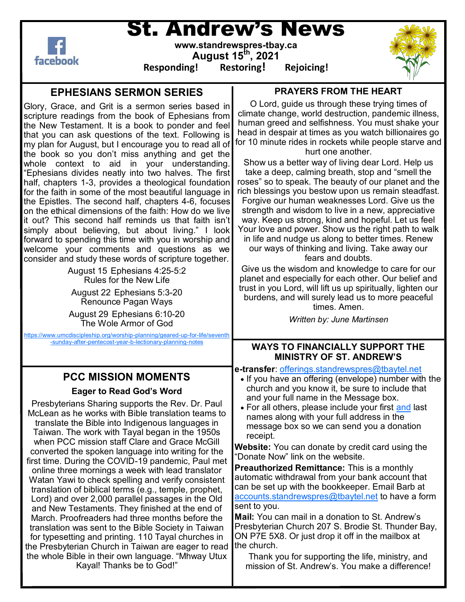facebook

# St. Andrew's News

**www.standrewspres-tbay.ca August 15th, 2021**

**Responding! Restoring! Rejoicing!**



### **EPHESIANS SERMON SERIES**

Glory, Grace, and Grit is a sermon series based in scripture readings from the book of Ephesians from the New Testament. It is a book to ponder and feel that you can ask questions of the text. Following is my plan for August, but I encourage you to read all of the book so you don't miss anything and get the whole context to aid in your understanding. "Ephesians divides neatly into two halves. The first half, chapters 1-3, provides a theological foundation for the faith in some of the most beautiful language in the Epistles. The second half, chapters 4-6, focuses on the ethical dimensions of the faith: How do we live it out? This second half reminds us that faith isn't simply about believing, but about living." I look forward to spending this time with you in worship and welcome your comments and questions as we consider and study these words of scripture together.

> August 15 Ephesians 4:25-5:2 Rules for the New Life August 22 Ephesians 5:3-20 Renounce Pagan Ways August 29 Ephesians 6:10-20

The Wole Armor of God [https://www.umcdiscipleship.org/worship](https://www.umcdiscipleship.org/worship-planning/geared-up-for-life/seventh-sunday-after-pentecost-year-b-lectionary-planning-notes)-planning/geared-up-for-life/seventh

# **PCC MISSION MOMENTS**

**Eager to Read God's Word**

Presbyterians Sharing supports the Rev. Dr. Paul McLean as he works with Bible translation teams to translate the Bible into Indigenous languages in Taiwan. The work with Tayal began in the 1950s when PCC mission staff Clare and Grace McGill converted the spoken language into writing for the first time. During the COVID-19 pandemic, Paul met online three mornings a week with lead translator Watan Yawi to check spelling and verify consistent translation of biblical terms (e.g., temple, prophet, Lord) and over 2,000 parallel passages in the Old and New Testaments. They finished at the end of March. Proofreaders had three months before the translation was sent to the Bible Society in Taiwan for typesetting and printing. 110 Tayal churches in the Presbyterian Church in Taiwan are eager to read the whole Bible in their own language. "Mhway Utux Kayal! Thanks be to God!"

#### **PRAYERS FROM THE HEART**

O Lord, guide us through these trying times of climate change, world destruction, pandemic illness, human greed and selfishness. You must shake your head in despair at times as you watch billionaires go for 10 minute rides in rockets while people starve and hurt one another.

Show us a better way of living dear Lord. Help us take a deep, calming breath, stop and "smell the roses" so to speak. The beauty of our planet and the rich blessings you bestow upon us remain steadfast. Forgive our human weaknesses Lord. Give us the strength and wisdom to live in a new, appreciative way. Keep us strong, kind and hopeful. Let us feel Your love and power. Show us the right path to walk in life and nudge us along to better times. Renew our ways of thinking and living. Take away our fears and doubts.

Give us the wisdom and knowledge to care for our planet and especially for each other. Our belief and trust in you Lord, will lift us up spiritually, lighten our burdens, and will surely lead us to more peaceful times. Amen.

*Written by: June Martinsen*

## -sunday-after-[pentecost](https://www.umcdiscipleship.org/worship-planning/geared-up-for-life/seventh-sunday-after-pentecost-year-b-lectionary-planning-notes)-year-b-lectionary-planning-notes **WAYS TO FINANCIALLY SUPPORT THE MINISTRY OF ST. ANDREW'S**

**e-transfer**: [offerings.standrewspres@tbaytel.net](mailto:offerings.standrewspres@tbaytel.net) • If you have an offering (envelope) number with the church and you know it, be sure to include that and your full name in the Message box. • For all others, please include your first [and](https://presbyterian.ca/2021/07/02/honouring-the-children-fund/) last names along with your full address in the message box so we can send you a donation receipt. **Website:** You can donate by credit card using the "Donate Now" link on the website. **Preauthorized Remittance:** This is a monthly automatic withdrawal from your bank account that can be set up with the bookkeeper. Email Barb at [accounts.standrewspres@tbaytel.net](mailto:accounts.standrewspres@tbaytel.net) to have a form sent to you. **Mail:** You can mail in a donation to St. Andrew's Presbyterian Church 207 S. Brodie St. Thunder Bay, ON P7E 5X8. Or just drop it off in the mailbox at the church.

> Thank you for supporting the life, ministry, and mission of St. Andrew's. You make a difference!